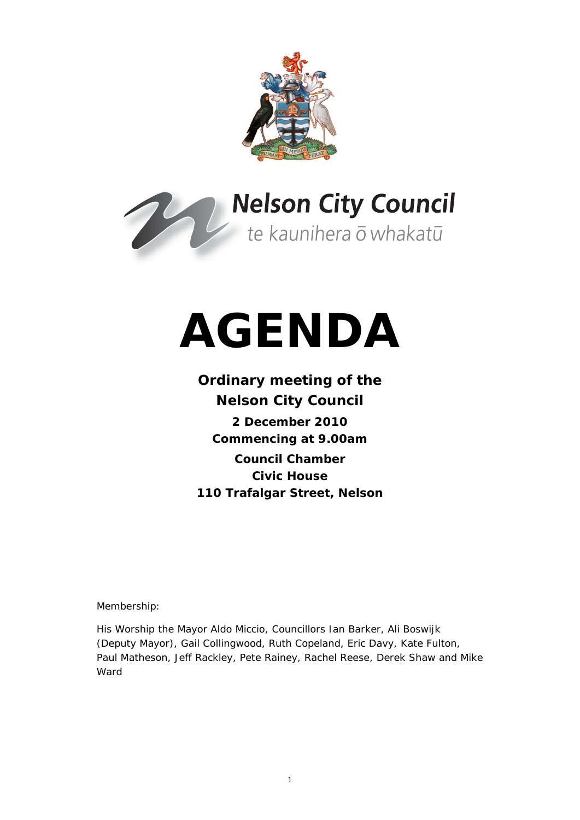



# **AGENDA**

# **Ordinary meeting of the Nelson City Council**

**2 December 2010 Commencing at 9.00am Council Chamber Civic House 110 Trafalgar Street, Nelson** 

Membership:

His Worship the Mayor Aldo Miccio, Councillors Ian Barker, Ali Boswijk (Deputy Mayor), Gail Collingwood, Ruth Copeland, Eric Davy, Kate Fulton, Paul Matheson, Jeff Rackley, Pete Rainey, Rachel Reese, Derek Shaw and Mike Ward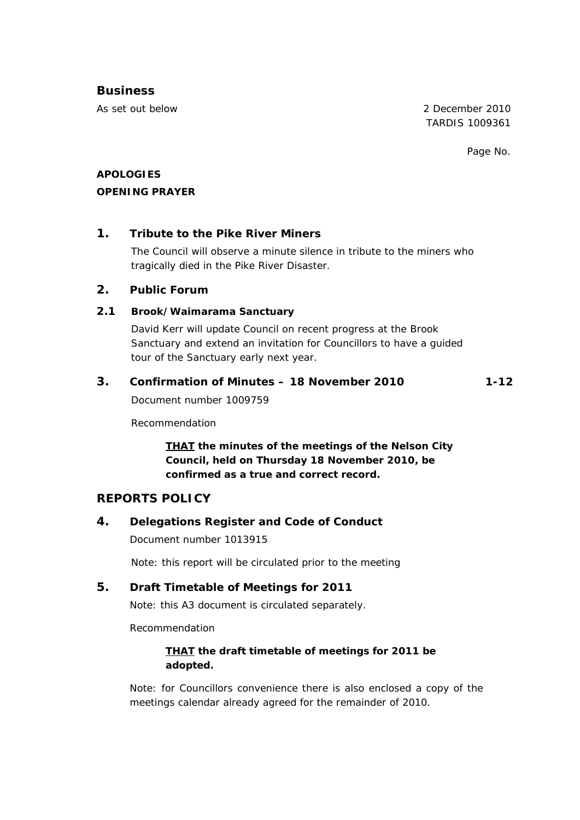#### **Business**

As set out below 2 December 2010 TARDIS 1009361

Page No.

#### **APOLOGIES OPENING PRAYER**

#### **1. Tribute to the Pike River Miners**

The Council will observe a minute silence in tribute to the miners who tragically died in the Pike River Disaster.

#### **2. Public Forum**

#### **2.1 Brook/Waimarama Sanctuary**

David Kerr will update Council on recent progress at the Brook Sanctuary and extend an invitation for Councillors to have a guided tour of the Sanctuary early next year.

#### **3. Confirmation of Minutes – 18 November 2010 1-12**

Document number 1009759

Recommendation

*THAT the minutes of the meetings of the Nelson City Council, held on Thursday 18 November 2010, be confirmed as a true and correct record.* 

#### **REPORTS POLICY**

#### **4. Delegations Register and Code of Conduct**

Document number 1013915

Note: this report will be circulated prior to the meeting

#### **5. Draft Timetable of Meetings for 2011**

Note: this A3 document is circulated separately.

Recommendation

#### *THAT the draft timetable of meetings for 2011 be adopted.*

Note: for Councillors convenience there is also enclosed a copy of the meetings calendar already agreed for the remainder of 2010.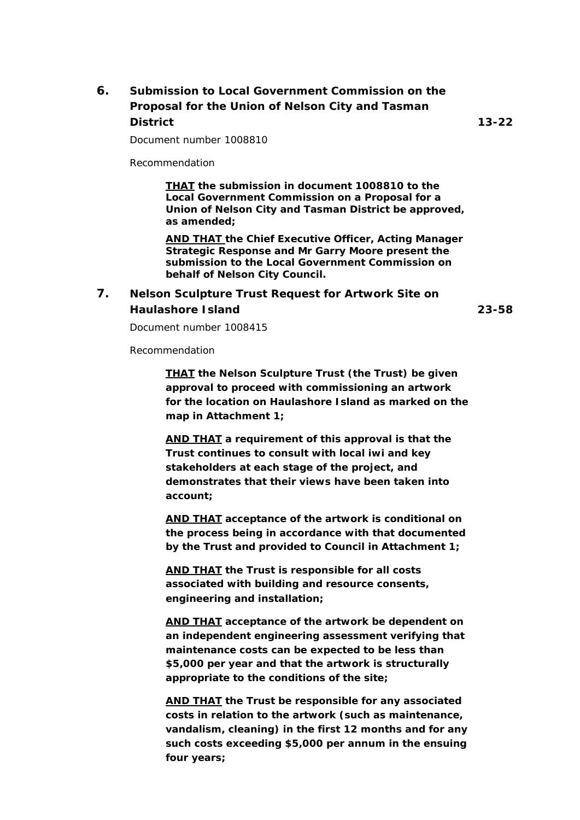# **6. Submission to Local Government Commission on the Proposal for the Union of Nelson City and Tasman District 13-22**

Document number 1008810

Recommendation

*THAT the submission in document 1008810 to the Local Government Commission on a Proposal for a Union of Nelson City and Tasman District be approved, as amended;* 

*AND THAT the Chief Executive Officer, Acting Manager Strategic Response and Mr Garry Moore present the submission to the Local Government Commission on behalf of Nelson City Council.* 

### **7. Nelson Sculpture Trust Request for Artwork Site on Haulashore Island 23-58**

Document number 1008415

Recommendation

*THAT the Nelson Sculpture Trust (the Trust) be given approval to proceed with commissioning an artwork for the location on Haulashore Island as marked on the map in Attachment 1;* 

*AND THAT a requirement of this approval is that the Trust continues to consult with local iwi and key stakeholders at each stage of the project, and demonstrates that their views have been taken into account;* 

*AND THAT acceptance of the artwork is conditional on the process being in accordance with that documented by the Trust and provided to Council in Attachment 1;* 

*AND THAT the Trust is responsible for all costs associated with building and resource consents, engineering and installation;* 

*AND THAT acceptance of the artwork be dependent on an independent engineering assessment verifying that maintenance costs can be expected to be less than \$5,000 per year and that the artwork is structurally appropriate to the conditions of the site;*

*AND THAT the Trust be responsible for any associated costs in relation to the artwork (such as maintenance, vandalism, cleaning) in the first 12 months and for any such costs exceeding \$5,000 per annum in the ensuing four years;*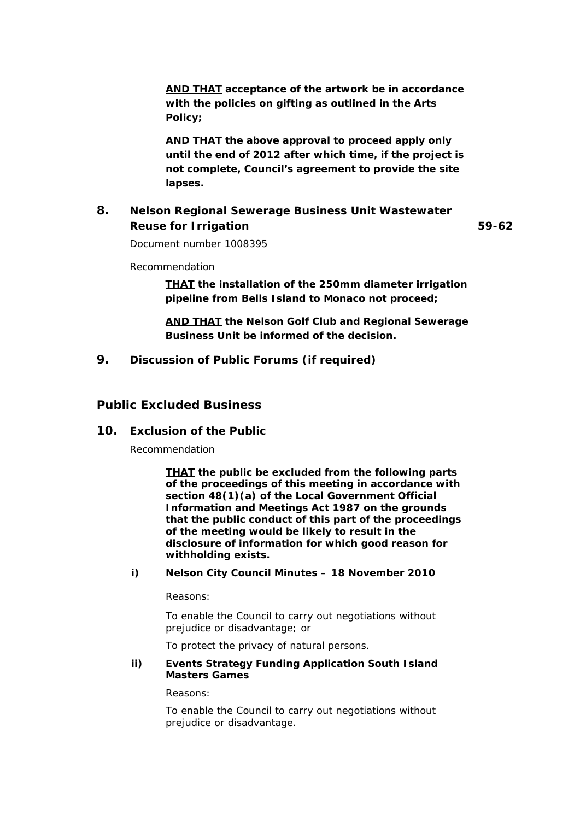*AND THAT acceptance of the artwork be in accordance with the policies on gifting as outlined in the Arts Policy;* 

*AND THAT the above approval to proceed apply only until the end of 2012 after which time, if the project is not complete, Council's agreement to provide the site lapses.* 

## **8. Nelson Regional Sewerage Business Unit Wastewater Reuse for Irrigation 59-62**

Document number 1008395

Recommendation

*THAT the installation of the 250mm diameter irrigation pipeline from Bells Island to Monaco not proceed;*

*AND THAT the Nelson Golf Club and Regional Sewerage Business Unit be informed of the decision.* 

#### **9. Discussion of Public Forums (if required)**

#### **Public Excluded Business**

#### **10. Exclusion of the Public**

Recommendation

*THAT the public be excluded from the following parts of the proceedings of this meeting in accordance with section 48(1)(a) of the Local Government Official Information and Meetings Act 1987 on the grounds that the public conduct of this part of the proceedings of the meeting would be likely to result in the disclosure of information for which good reason for withholding exists.* 

*i) Nelson City Council Minutes – 18 November 2010* 

*Reasons:* 

*To enable the Council to carry out negotiations without prejudice or disadvantage; or* 

*To protect the privacy of natural persons.* 

#### *ii) Events Strategy Funding Application South Island Masters Games*

*Reasons:* 

*To enable the Council to carry out negotiations without prejudice or disadvantage.*